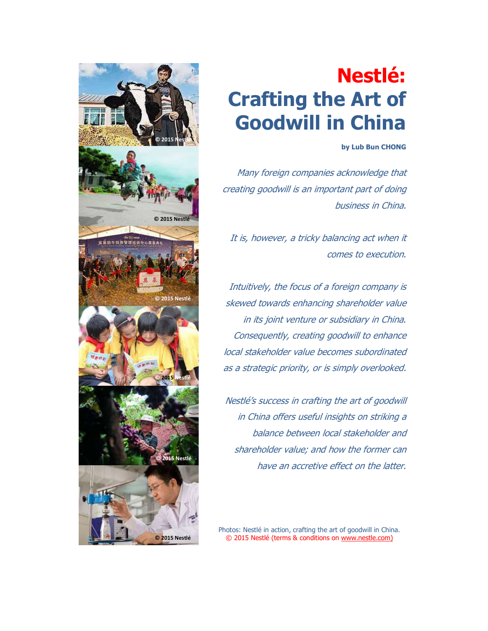

# Nestlé: Crafting the Art of Goodwill in China

# by Lub Bun CHONG

Many foreign companies acknowledge that creating goodwill is an important part of doing business in China.

It is, however, a tricky balancing act when it comes to execution.

Intuitively, the focus of a foreign company is skewed towards enhancing shareholder value in its joint venture or subsidiary in China. Consequently, creating goodwill to enhance local stakeholder value becomes subordinated as a strategic priority, or is simply overlooked.

Nestlé's success in crafting the art of goodwill in China offers useful insights on striking a balance between local stakeholder and shareholder value; and how the former can have an accretive effect on the latter.

Photos: Nestlé in action, crafting the art of goodwill in China. © 2015 Nestlé (terms & conditions on www.nestle.com)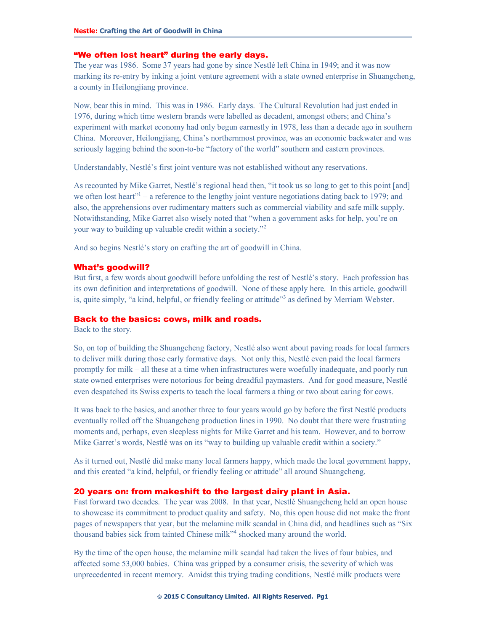# "We often lost heart" during the early days.

The year was 1986. Some 37 years had gone by since Nestlé left China in 1949; and it was now marking its re-entry by inking a joint venture agreement with a state owned enterprise in Shuangcheng, a county in Heilongjiang province.

Now, bear this in mind. This was in 1986. Early days. The Cultural Revolution had just ended in 1976, during which time western brands were labelled as decadent, amongst others; and China's experiment with market economy had only begun earnestly in 1978, less than a decade ago in southern China. Moreover, Heilongjiang, China's northernmost province, was an economic backwater and was seriously lagging behind the soon-to-be "factory of the world" southern and eastern provinces.

Understandably, Nestlé's first joint venture was not established without any reservations.

As recounted by Mike Garret, Nestlé's regional head then, "it took us so long to get to this point [and] we often lost heart"<sup>1</sup> – a reference to the lengthy joint venture negotiations dating back to 1979; and also, the apprehensions over rudimentary matters such as commercial viability and safe milk supply. Notwithstanding, Mike Garret also wisely noted that "when a government asks for help, you're on your way to building up valuable credit within a society."<sup>2</sup>

And so begins Nestlé's story on crafting the art of goodwill in China.

#### What's goodwill?

But first, a few words about goodwill before unfolding the rest of Nestlé's story. Each profession has its own definition and interpretations of goodwill. None of these apply here. In this article, goodwill is, quite simply, "a kind, helpful, or friendly feeling or attitude"<sup>3</sup> as defined by Merriam Webster.

### Back to the basics: cows, milk and roads.

Back to the story.

So, on top of building the Shuangcheng factory, Nestlé also went about paving roads for local farmers to deliver milk during those early formative days. Not only this, Nestlé even paid the local farmers promptly for milk – all these at a time when infrastructures were woefully inadequate, and poorly run state owned enterprises were notorious for being dreadful paymasters. And for good measure, Nestlé even despatched its Swiss experts to teach the local farmers a thing or two about caring for cows.

It was back to the basics, and another three to four years would go by before the first Nestlé products eventually rolled off the Shuangcheng production lines in 1990. No doubt that there were frustrating moments and, perhaps, even sleepless nights for Mike Garret and his team. However, and to borrow Mike Garret's words, Nestlé was on its "way to building up valuable credit within a society."

As it turned out, Nestlé did make many local farmers happy, which made the local government happy, and this created "a kind, helpful, or friendly feeling or attitude" all around Shuangcheng.

# 20 years on: from makeshift to the largest dairy plant in Asia.

Fast forward two decades. The year was 2008. In that year, Nestlé Shuangcheng held an open house to showcase its commitment to product quality and safety. No, this open house did not make the front pages of newspapers that year, but the melamine milk scandal in China did, and headlines such as "Six thousand babies sick from tainted Chinese milk<sup>34</sup> shocked many around the world.

By the time of the open house, the melamine milk scandal had taken the lives of four babies, and affected some 53,000 babies. China was gripped by a consumer crisis, the severity of which was unprecedented in recent memory. Amidst this trying trading conditions, Nestlé milk products were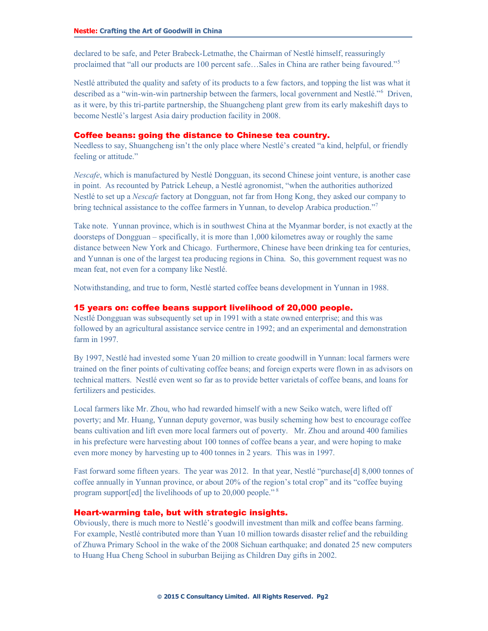declared to be safe, and Peter Brabeck-Letmathe, the Chairman of Nestlé himself, reassuringly proclaimed that "all our products are 100 percent safe…Sales in China are rather being favoured."<sup>5</sup>

Nestlé attributed the quality and safety of its products to a few factors, and topping the list was what it described as a "win-win-win partnership between the farmers, local government and Nestlé."<sup>6</sup> Driven, as it were, by this tri-partite partnership, the Shuangcheng plant grew from its early makeshift days to become Nestlé's largest Asia dairy production facility in 2008.

### Coffee beans: going the distance to Chinese tea country.

Needless to say, Shuangcheng isn't the only place where Nestlé's created "a kind, helpful, or friendly feeling or attitude."

Nescafe, which is manufactured by Nestlé Dongguan, its second Chinese joint venture, is another case in point. As recounted by Patrick Leheup, a Nestlé agronomist, "when the authorities authorized Nestlé to set up a Nescafe factory at Dongguan, not far from Hong Kong, they asked our company to bring technical assistance to the coffee farmers in Yunnan, to develop Arabica production."<sup>7</sup>

Take note. Yunnan province, which is in southwest China at the Myanmar border, is not exactly at the doorsteps of Dongguan – specifically, it is more than 1,000 kilometres away or roughly the same distance between New York and Chicago. Furthermore, Chinese have been drinking tea for centuries, and Yunnan is one of the largest tea producing regions in China. So, this government request was no mean feat, not even for a company like Nestlé.

Notwithstanding, and true to form, Nestlé started coffee beans development in Yunnan in 1988.

# 15 years on: coffee beans support livelihood of 20,000 people.

Nestlé Dongguan was subsequently set up in 1991 with a state owned enterprise; and this was followed by an agricultural assistance service centre in 1992; and an experimental and demonstration farm in 1997.

By 1997, Nestlé had invested some Yuan 20 million to create goodwill in Yunnan: local farmers were trained on the finer points of cultivating coffee beans; and foreign experts were flown in as advisors on technical matters. Nestlé even went so far as to provide better varietals of coffee beans, and loans for fertilizers and pesticides.

Local farmers like Mr. Zhou, who had rewarded himself with a new Seiko watch, were lifted off poverty; and Mr. Huang, Yunnan deputy governor, was busily scheming how best to encourage coffee beans cultivation and lift even more local farmers out of poverty. Mr. Zhou and around 400 families in his prefecture were harvesting about 100 tonnes of coffee beans a year, and were hoping to make even more money by harvesting up to 400 tonnes in 2 years. This was in 1997.

Fast forward some fifteen years. The year was 2012. In that year, Nestlé "purchase[d] 8,000 tonnes of coffee annually in Yunnan province, or about 20% of the region's total crop" and its "coffee buying program support[ed] the livelihoods of up to 20,000 people."<sup>8</sup>

# Heart-warming tale, but with strategic insights.

Obviously, there is much more to Nestlé's goodwill investment than milk and coffee beans farming. For example, Nestlé contributed more than Yuan 10 million towards disaster relief and the rebuilding of Zhuwa Primary School in the wake of the 2008 Sichuan earthquake; and donated 25 new computers to Huang Hua Cheng School in suburban Beijing as Children Day gifts in 2002.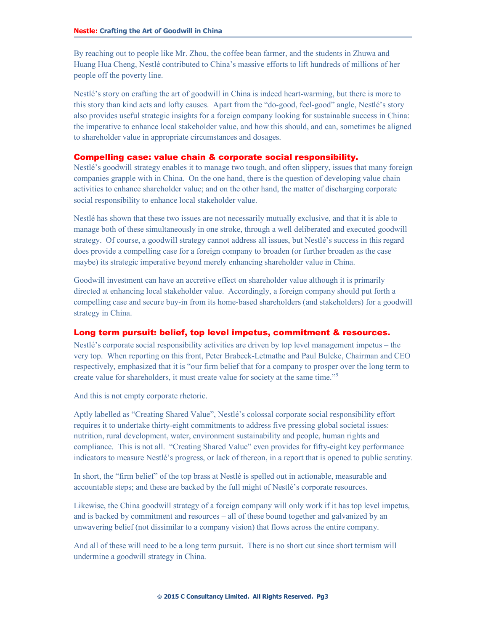By reaching out to people like Mr. Zhou, the coffee bean farmer, and the students in Zhuwa and Huang Hua Cheng, Nestlé contributed to China's massive efforts to lift hundreds of millions of her people off the poverty line.

Nestlé's story on crafting the art of goodwill in China is indeed heart-warming, but there is more to this story than kind acts and lofty causes. Apart from the "do-good, feel-good" angle, Nestlé's story also provides useful strategic insights for a foreign company looking for sustainable success in China: the imperative to enhance local stakeholder value, and how this should, and can, sometimes be aligned to shareholder value in appropriate circumstances and dosages.

# Compelling case: value chain & corporate social responsibility.

Nestlé's goodwill strategy enables it to manage two tough, and often slippery, issues that many foreign companies grapple with in China. On the one hand, there is the question of developing value chain activities to enhance shareholder value; and on the other hand, the matter of discharging corporate social responsibility to enhance local stakeholder value.

Nestlé has shown that these two issues are not necessarily mutually exclusive, and that it is able to manage both of these simultaneously in one stroke, through a well deliberated and executed goodwill strategy. Of course, a goodwill strategy cannot address all issues, but Nestlé's success in this regard does provide a compelling case for a foreign company to broaden (or further broaden as the case maybe) its strategic imperative beyond merely enhancing shareholder value in China.

Goodwill investment can have an accretive effect on shareholder value although it is primarily directed at enhancing local stakeholder value. Accordingly, a foreign company should put forth a compelling case and secure buy-in from its home-based shareholders (and stakeholders) for a goodwill strategy in China.

# Long term pursuit: belief, top level impetus, commitment & resources.

Nestlé's corporate social responsibility activities are driven by top level management impetus – the very top. When reporting on this front, Peter Brabeck-Letmathe and Paul Bulcke, Chairman and CEO respectively, emphasized that it is "our firm belief that for a company to prosper over the long term to create value for shareholders, it must create value for society at the same time."<sup>9</sup>

And this is not empty corporate rhetoric.

Aptly labelled as "Creating Shared Value", Nestlé's colossal corporate social responsibility effort requires it to undertake thirty-eight commitments to address five pressing global societal issues: nutrition, rural development, water, environment sustainability and people, human rights and compliance. This is not all. "Creating Shared Value" even provides for fifty-eight key performance indicators to measure Nestlé's progress, or lack of thereon, in a report that is opened to public scrutiny.

In short, the "firm belief" of the top brass at Nestlé is spelled out in actionable, measurable and accountable steps; and these are backed by the full might of Nestlé's corporate resources.

Likewise, the China goodwill strategy of a foreign company will only work if it has top level impetus, and is backed by commitment and resources – all of these bound together and galvanized by an unwavering belief (not dissimilar to a company vision) that flows across the entire company.

And all of these will need to be a long term pursuit. There is no short cut since short termism will undermine a goodwill strategy in China.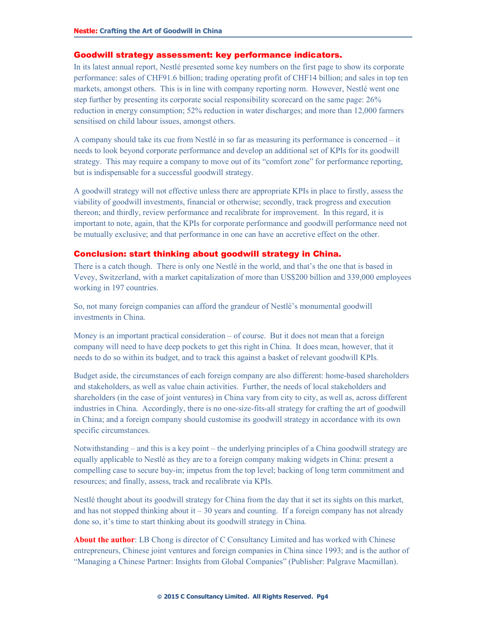#### Goodwill strategy assessment: key performance indicators.

In its latest annual report, Nestlé presented some key numbers on the first page to show its corporate performance: sales of CHF91.6 billion; trading operating profit of CHF14 billion; and sales in top ten markets, amongst others. This is in line with company reporting norm. However, Nestlé went one step further by presenting its corporate social responsibility scorecard on the same page: 26% reduction in energy consumption; 52% reduction in water discharges; and more than 12,000 farmers sensitised on child labour issues, amongst others.

A company should take its cue from Nestlé in so far as measuring its performance is concerned – it needs to look beyond corporate performance and develop an additional set of KPIs for its goodwill strategy. This may require a company to move out of its "comfort zone" for performance reporting, but is indispensable for a successful goodwill strategy.

A goodwill strategy will not effective unless there are appropriate KPIs in place to firstly, assess the viability of goodwill investments, financial or otherwise; secondly, track progress and execution thereon; and thirdly, review performance and recalibrate for improvement. In this regard, it is important to note, again, that the KPIs for corporate performance and goodwill performance need not be mutually exclusive; and that performance in one can have an accretive effect on the other.

# Conclusion: start thinking about goodwill strategy in China.

There is a catch though. There is only one Nestlé in the world, and that's the one that is based in Vevey, Switzerland, with a market capitalization of more than US\$200 billion and 339,000 employees working in 197 countries.

So, not many foreign companies can afford the grandeur of Nestlé's monumental goodwill investments in China.

Money is an important practical consideration – of course. But it does not mean that a foreign company will need to have deep pockets to get this right in China. It does mean, however, that it needs to do so within its budget, and to track this against a basket of relevant goodwill KPIs.

Budget aside, the circumstances of each foreign company are also different: home-based shareholders and stakeholders, as well as value chain activities. Further, the needs of local stakeholders and shareholders (in the case of joint ventures) in China vary from city to city, as well as, across different industries in China. Accordingly, there is no one-size-fits-all strategy for crafting the art of goodwill in China; and a foreign company should customise its goodwill strategy in accordance with its own specific circumstances.

Notwithstanding – and this is a key point – the underlying principles of a China goodwill strategy are equally applicable to Nestlé as they are to a foreign company making widgets in China: present a compelling case to secure buy-in; impetus from the top level; backing of long term commitment and resources; and finally, assess, track and recalibrate via KPIs.

Nestlé thought about its goodwill strategy for China from the day that it set its sights on this market, and has not stopped thinking about it  $-30$  years and counting. If a foreign company has not already done so, it's time to start thinking about its goodwill strategy in China.

About the author: LB Chong is director of C Consultancy Limited and has worked with Chinese entrepreneurs, Chinese joint ventures and foreign companies in China since 1993; and is the author of "Managing a Chinese Partner: Insights from Global Companies" (Publisher: Palgrave Macmillan).